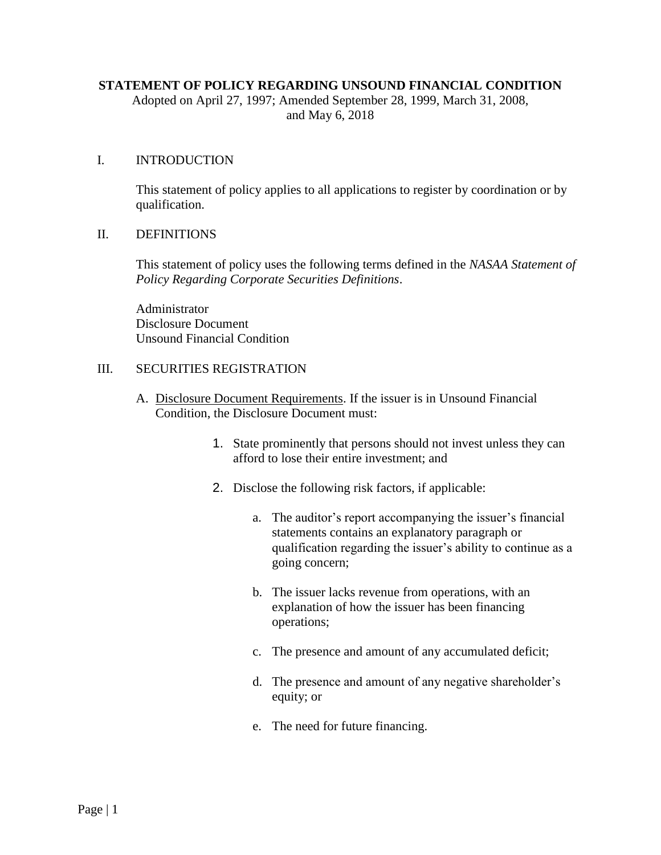## **STATEMENT OF POLICY REGARDING UNSOUND FINANCIAL CONDITION**

Adopted on April 27, 1997; Amended September 28, 1999, March 31, 2008, and May 6, 2018

## I. INTRODUCTION

This statement of policy applies to all applications to register by coordination or by qualification.

## II. DEFINITIONS

This statement of policy uses the following terms defined in the *NASAA Statement of Policy Regarding Corporate Securities Definitions*.

Administrator Disclosure Document Unsound Financial Condition

## III. SECURITIES REGISTRATION

- A. Disclosure Document Requirements. If the issuer is in Unsound Financial Condition, the Disclosure Document must:
	- 1. State prominently that persons should not invest unless they can afford to lose their entire investment; and
	- 2. Disclose the following risk factors, if applicable:
		- a. The auditor's report accompanying the issuer's financial statements contains an explanatory paragraph or qualification regarding the issuer's ability to continue as a going concern;
		- b. The issuer lacks revenue from operations, with an explanation of how the issuer has been financing operations;
		- c. The presence and amount of any accumulated deficit;
		- d. The presence and amount of any negative shareholder's equity; or
		- e. The need for future financing.